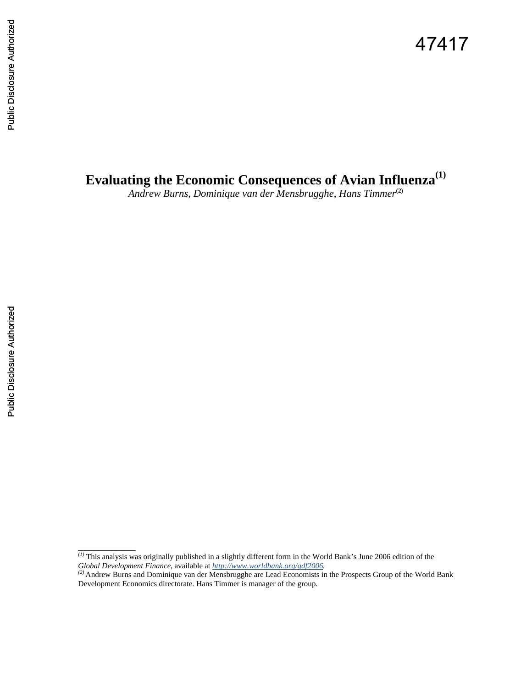# **Evaluating the Economic Consequences of Avian Influenza(1)**

*Andrew Burns, Dominique van der Mensbrugghe, Hans Timmer***(2)** 

\_\_\_\_\_\_\_\_\_\_\_  $(1)$  This analysis was originally published in a slightly different form in the World Bank's June 2006 edition of the

*Global Development Finance*, available at *http://www.worldbank.org/gdf2006*.<br><sup>(2)</sup> Andrew Burns and Dominique van der Mensbrugghe are Lead Economists in the Prospects Group of the World Bank Development Economics directorate. Hans Timmer is manager of the group.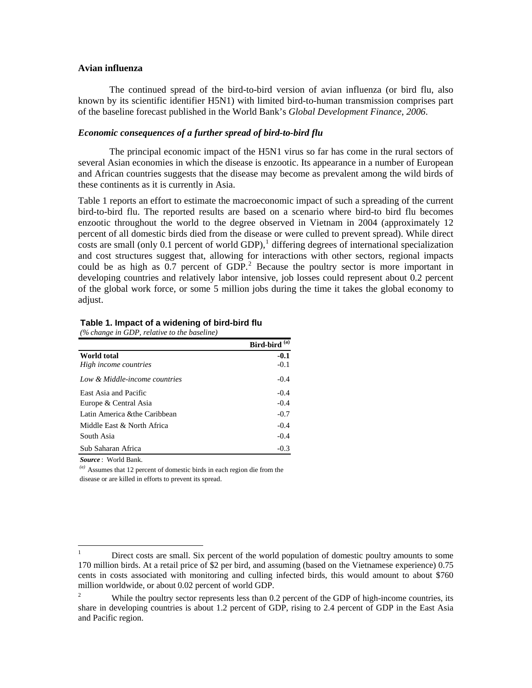## **Avian influenza**

The continued spread of the bird-to-bird version of avian influenza (or bird flu, also known by its scientific identifier H5N1) with limited bird-to-human transmission comprises part of the baseline forecast published in the World Bank's *Global Development Finance*, *2006*.

## *Economic consequences of a further spread of bird-to-bird flu*

The principal economic impact of the H5N1 virus so far has come in the rural sectors of several Asian economies in which the disease is enzootic. Its appearance in a number of European and African countries suggests that the disease may become as prevalent among the wild birds of these continents as it is currently in Asia.

Table 1 reports an effort to estimate the macroeconomic impact of such a spreading of the current bird-to-bird flu. The reported results are based on a scenario where bird-to bird flu becomes enzootic throughout the world to the degree observed in Vietnam in 2004 (approximately 12 percent of all domestic birds died from the disease or were culled to prevent spread). While direct  $\cos$ ts are small (only 0.[1](#page-1-0) percent of world GDP),<sup>1</sup> differing degrees of international specialization and cost structures suggest that, allowing for interactions with other sectors, regional impacts could be as high as  $0.7$  percent of GDP.<sup>[2](#page-1-1)</sup> Because the poultry sector is more important in developing countries and relatively labor intensive, job losses could represent about 0.2 percent of the global work force, or some 5 million jobs during the time it takes the global economy to adjust.

| Table 1. Impact of a widening of bird-bird flu |  |  |
|------------------------------------------------|--|--|
|------------------------------------------------|--|--|

| (% change in GDP, relative to the baseline) |  |  |  |  |
|---------------------------------------------|--|--|--|--|
|---------------------------------------------|--|--|--|--|

|                               | Bird-bird <sup>(a)</sup> |
|-------------------------------|--------------------------|
| World total                   | $-0.1$                   |
| High income countries         | $-0.1$                   |
| Low & Middle-income countries | $-0.4$                   |
| East Asia and Pacific         | $-0.4$                   |
| Europe & Central Asia         | $-0.4$                   |
| Latin America & the Caribbean | $-0.7$                   |
| Middle East & North Africa    | $-0.4$                   |
| South Asia                    | $-0.4$                   |
| Sub Saharan Africa            | $-0.3$                   |

*Source* : World Bank.

*(a)* Assumes that 12 percent of domestic birds in each region die from the disease or are killed in efforts to prevent its spread.

<span id="page-1-0"></span> $\frac{1}{1}$  Direct costs are small. Six percent of the world population of domestic poultry amounts to some 170 million birds. At a retail price of \$2 per bird, and assuming (based on the Vietnamese experience) 0.75 cents in costs associated with monitoring and culling infected birds, this would amount to about \$760 million worldwide, or about 0.02 percent of world GDP.

<span id="page-1-1"></span><sup>2</sup> While the poultry sector represents less than 0.2 percent of the GDP of high-income countries, its share in developing countries is about 1.2 percent of GDP, rising to 2.4 percent of GDP in the East Asia and Pacific region.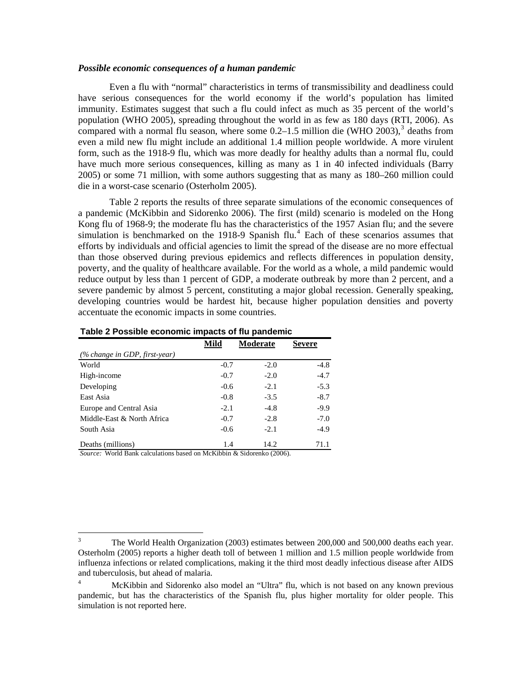#### *Possible economic consequences of a human pandemic*

Even a flu with "normal" characteristics in terms of transmissibility and deadliness could have serious consequences for the world economy if the world's population has limited immunity. Estimates suggest that such a flu could infect as much as 35 percent of the world's population (WHO 2005), spreading throughout the world in as few as 180 days (RTI, 2006). As compared with a normal flu season, where some  $0.2-1.5$  million die (WHO 200[3](#page-2-0)),<sup>3</sup> deaths from even a mild new flu might include an additional 1.4 million people worldwide. A more virulent form, such as the 1918-9 flu, which was more deadly for healthy adults than a normal flu, could have much more serious consequences, killing as many as 1 in 40 infected individuals (Barry 2005) or some 71 million, with some authors suggesting that as many as 180–260 million could die in a worst-case scenario (Osterholm 2005).

Table 2 reports the results of three separate simulations of the economic consequences of a pandemic (McKibbin and Sidorenko 2006). The first (mild) scenario is modeled on the Hong Kong flu of 1968-9; the moderate flu has the characteristics of the 1957 Asian flu; and the severe simulation is benchmarked on the 1918-9 Spanish  $flu<sup>4</sup>$  $flu<sup>4</sup>$  $flu<sup>4</sup>$  Each of these scenarios assumes that efforts by individuals and official agencies to limit the spread of the disease are no more effectual than those observed during previous epidemics and reflects differences in population density, poverty, and the quality of healthcare available. For the world as a whole, a mild pandemic would reduce output by less than 1 percent of GDP, a moderate outbreak by more than 2 percent, and a severe pandemic by almost 5 percent, constituting a major global recession. Generally speaking, developing countries would be hardest hit, because higher population densities and poverty accentuate the economic impacts in some countries.

|                                                                       | Mild   | <b>Moderate</b> | <b>Severe</b> |
|-----------------------------------------------------------------------|--------|-----------------|---------------|
| (% change in GDP, first-year)                                         |        |                 |               |
| World                                                                 | $-0.7$ | $-2.0$          | $-4.8$        |
| High-income                                                           | $-0.7$ | $-2.0$          | $-4.7$        |
| Developing                                                            | $-0.6$ | $-2.1$          | $-5.3$        |
| East Asia                                                             | $-0.8$ | $-3.5$          | $-8.7$        |
| Europe and Central Asia                                               | $-2.1$ | $-4.8$          | $-9.9$        |
| Middle-East & North Africa                                            | $-0.7$ | $-2.8$          | $-7.0$        |
| South Asia                                                            | $-0.6$ | $-2.1$          | $-4.9$        |
| Deaths (millions)                                                     | 1.4    | 14.2            | 71.1          |
| Source: World Bank calculations based on McKibbin & Sidorenko (2006). |        |                 |               |

#### **Table 2 Possible economic impacts of flu pandemic**

<span id="page-2-0"></span><sup>&</sup>lt;sup>2</sup><br>3 The World Health Organization (2003) estimates between 200,000 and 500,000 deaths each year. Osterholm (2005) reports a higher death toll of between 1 million and 1.5 million people worldwide from influenza infections or related complications, making it the third most deadly infectious disease after AIDS and tuberculosis, but ahead of malaria.

<span id="page-2-1"></span><sup>4</sup> McKibbin and Sidorenko also model an "Ultra" flu, which is not based on any known previous pandemic, but has the characteristics of the Spanish flu, plus higher mortality for older people. This simulation is not reported here.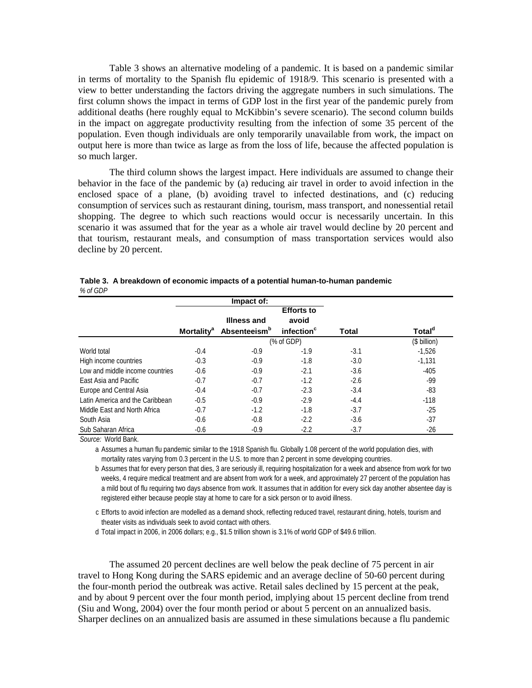Table 3 shows an alternative modeling of a pandemic. It is based on a pandemic similar in terms of mortality to the Spanish flu epidemic of 1918/9. This scenario is presented with a view to better understanding the factors driving the aggregate numbers in such simulations. The first column shows the impact in terms of GDP lost in the first year of the pandemic purely from additional deaths (here roughly equal to McKibbin's severe scenario). The second column builds in the impact on aggregate productivity resulting from the infection of some 35 percent of the population. Even though individuals are only temporarily unavailable from work, the impact on output here is more than twice as large as from the loss of life, because the affected population is so much larger.

The third column shows the largest impact. Here individuals are assumed to change their behavior in the face of the pandemic by (a) reducing air travel in order to avoid infection in the enclosed space of a plane, (b) avoiding travel to infected destinations, and (c) reducing consumption of services such as restaurant dining, tourism, mass transport, and nonessential retail shopping. The degree to which such reactions would occur is necessarily uncertain. In this scenario it was assumed that for the year as a whole air travel would decline by 20 percent and that tourism, restaurant meals, and consumption of mass transportation services would also decline by 20 percent.

|                                 |                              | Impact of:                      |                        |        |                    |
|---------------------------------|------------------------------|---------------------------------|------------------------|--------|--------------------|
|                                 |                              |                                 | <b>Efforts to</b>      |        |                    |
|                                 |                              | Illness and                     | avoid                  |        |                    |
|                                 | <b>Mortality<sup>a</sup></b> | <b>Absenteeism</b> <sup>b</sup> | infection <sup>c</sup> | Total  | Total <sup>d</sup> |
|                                 |                              |                                 | (% of GDP)             |        | (\$ billion)       |
| World total                     | $-0.4$                       | $-0.9$                          | $-1.9$                 | $-3.1$ | $-1.526$           |
| High income countries           | $-0.3$                       | $-0.9$                          | $-1.8$                 | $-3.0$ | $-1,131$           |
| Low and middle income countries | $-0.6$                       | $-0.9$                          | $-2.1$                 | $-3.6$ | $-405$             |
| East Asia and Pacific           | $-0.7$                       | $-0.7$                          | $-1.2$                 | $-2.6$ | -99                |
| Europe and Central Asia         | $-0.4$                       | $-0.7$                          | $-2.3$                 | $-3.4$ | -83                |
| Latin America and the Caribbean | $-0.5$                       | $-0.9$                          | $-2.9$                 | $-4.4$ | $-118$             |
| Middle East and North Africa    | $-0.7$                       | $-1.2$                          | $-1.8$                 | $-3.7$ | $-25$              |
| South Asia                      | $-0.6$                       | $-0.8$                          | $-2.2$                 | $-3.6$ | $-37$              |
| Sub Saharan Africa              | $-0.6$                       | $-0.9$                          | $-2.2$                 | $-3.7$ | $-26$              |

| Table 3. A breakdown of economic impacts of a potential human-to-human pandemic |  |
|---------------------------------------------------------------------------------|--|
| % of GDP                                                                        |  |

*Source:* World Bank.

a Assumes a human flu pandemic similar to the 1918 Spanish flu. Globally 1.08 percent of the world population dies, with mortality rates varying from 0.3 percent in the U.S. to more than 2 percent in some developing countries.

b Assumes that for every person that dies, 3 are seriously ill, requiring hospitalization for a week and absence from work for two weeks, 4 require medical treatment and are absent from work for a week, and approximately 27 percent of the population has a mild bout of flu requiring two days absence from work. It assumes that in addition for every sick day another absentee day is registered either because people stay at home to care for a sick person or to avoid illness.

c Efforts to avoid infection are modelled as a demand shock, reflecting reduced travel, restaurant dining, hotels, tourism and theater visits as individuals seek to avoid contact with others.

d Total impact in 2006, in 2006 dollars; e.g., \$1.5 trillion shown is 3.1% of world GDP of \$49.6 trillion.

The assumed 20 percent declines are well below the peak decline of 75 percent in air travel to Hong Kong during the SARS epidemic and an average decline of 50-60 percent during the four-month period the outbreak was active. Retail sales declined by 15 percent at the peak, and by about 9 percent over the four month period, implying about 15 percent decline from trend (Siu and Wong, 2004) over the four month period or about 5 percent on an annualized basis. Sharper declines on an annualized basis are assumed in these simulations because a flu pandemic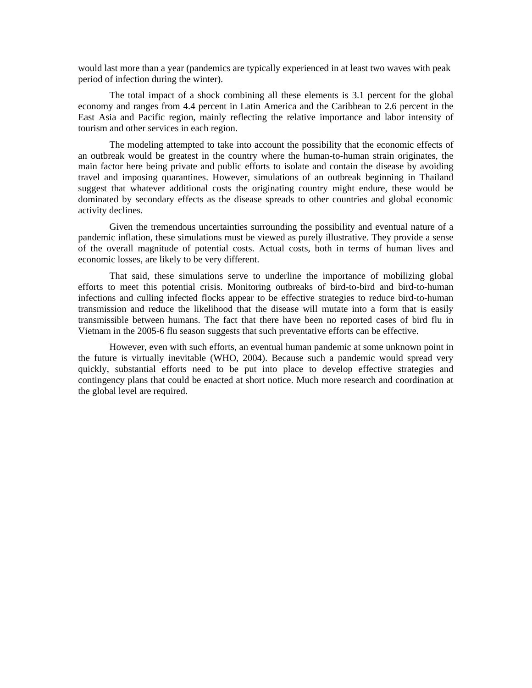would last more than a year (pandemics are typically experienced in at least two waves with peak period of infection during the winter).

The total impact of a shock combining all these elements is 3.1 percent for the global economy and ranges from 4.4 percent in Latin America and the Caribbean to 2.6 percent in the East Asia and Pacific region, mainly reflecting the relative importance and labor intensity of tourism and other services in each region.

The modeling attempted to take into account the possibility that the economic effects of an outbreak would be greatest in the country where the human-to-human strain originates, the main factor here being private and public efforts to isolate and contain the disease by avoiding travel and imposing quarantines. However, simulations of an outbreak beginning in Thailand suggest that whatever additional costs the originating country might endure, these would be dominated by secondary effects as the disease spreads to other countries and global economic activity declines.

Given the tremendous uncertainties surrounding the possibility and eventual nature of a pandemic inflation, these simulations must be viewed as purely illustrative. They provide a sense of the overall magnitude of potential costs. Actual costs, both in terms of human lives and economic losses, are likely to be very different.

That said, these simulations serve to underline the importance of mobilizing global efforts to meet this potential crisis. Monitoring outbreaks of bird-to-bird and bird-to-human infections and culling infected flocks appear to be effective strategies to reduce bird-to-human transmission and reduce the likelihood that the disease will mutate into a form that is easily transmissible between humans. The fact that there have been no reported cases of bird flu in Vietnam in the 2005-6 flu season suggests that such preventative efforts can be effective.

However, even with such efforts, an eventual human pandemic at some unknown point in the future is virtually inevitable (WHO, 2004). Because such a pandemic would spread very quickly, substantial efforts need to be put into place to develop effective strategies and contingency plans that could be enacted at short notice. Much more research and coordination at the global level are required.